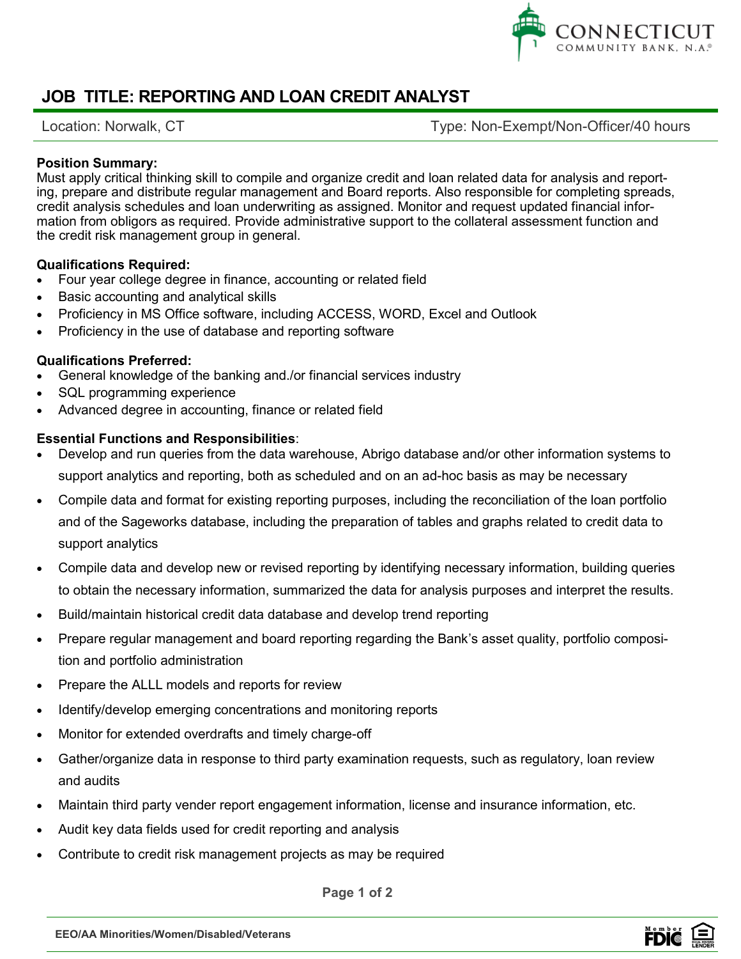

# **JOB TITLE: REPORTING AND LOAN CREDIT ANALYST**

Location: Norwalk, CT exempt/Non-Officer/40 hours

### **Position Summary:**

Must apply critical thinking skill to compile and organize credit and loan related data for analysis and reporting, prepare and distribute regular management and Board reports. Also responsible for completing spreads, credit analysis schedules and loan underwriting as assigned. Monitor and request updated financial information from obligors as required. Provide administrative support to the collateral assessment function and the credit risk management group in general.

#### **Qualifications Required:**

- Four year college degree in finance, accounting or related field
- Basic accounting and analytical skills
- Proficiency in MS Office software, including ACCESS, WORD, Excel and Outlook
- Proficiency in the use of database and reporting software

#### **Qualifications Preferred:**

- General knowledge of the banking and./or financial services industry
- SQL programming experience
- Advanced degree in accounting, finance or related field

### **Essential Functions and Responsibilities**:

- Develop and run queries from the data warehouse, Abrigo database and/or other information systems to support analytics and reporting, both as scheduled and on an ad-hoc basis as may be necessary
- Compile data and format for existing reporting purposes, including the reconciliation of the loan portfolio and of the Sageworks database, including the preparation of tables and graphs related to credit data to support analytics
- Compile data and develop new or revised reporting by identifying necessary information, building queries to obtain the necessary information, summarized the data for analysis purposes and interpret the results.
- Build/maintain historical credit data database and develop trend reporting
- Prepare regular management and board reporting regarding the Bank's asset quality, portfolio composition and portfolio administration
- Prepare the ALLL models and reports for review
- Identify/develop emerging concentrations and monitoring reports
- Monitor for extended overdrafts and timely charge-off
- Gather/organize data in response to third party examination requests, such as regulatory, loan review and audits
- Maintain third party vender report engagement information, license and insurance information, etc.
- Audit key data fields used for credit reporting and analysis
- Contribute to credit risk management projects as may be required

**Page 1 of 2**